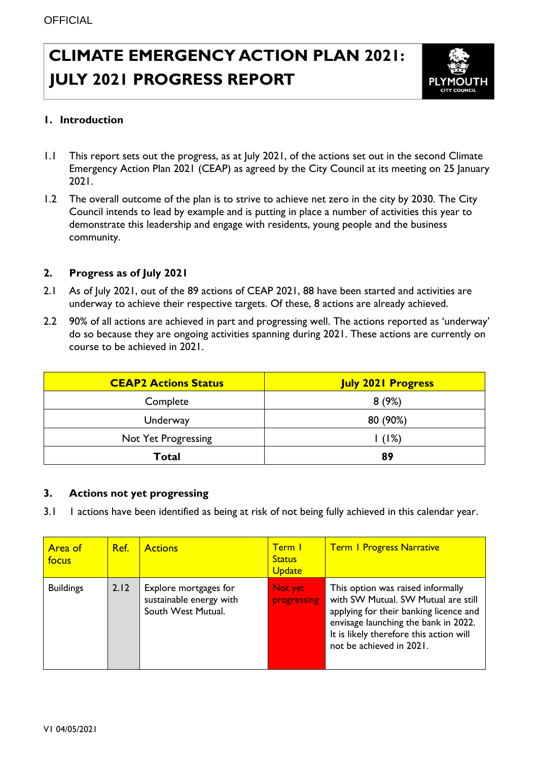# **CLIMATE EMERGENCY ACTION PLAN 2021: JULY 2021 PROGRESS REPORT**



## **1. Introduction**

- 1.1 This report sets out the progress, as at July 2021, of the actions set out in the second Climate Emergency Action Plan 2021 (CEAP) as agreed by the City Council at its meeting on 25 January 2021.
- 1.2 The overall outcome of the plan is to strive to achieve net zero in the city by 2030. The City Council intends to lead by example and is putting in place a number of activities this year to demonstrate this leadership and engage with residents, young people and the business community.

#### **2. Progress as of July 2021**

- 2.1 As of July 2021, out of the 89 actions of CEAP 2021, 88 have been started and activities are underway to achieve their respective targets. Of these, 8 actions are already achieved.
- 2.2 90% of all actions are achieved in part and progressing well. The actions reported as 'underway' do so because they are ongoing activities spanning during 2021. These actions are currently on course to be achieved in 2021.

| <b>CEAP2 Actions Status</b> | <b>July 2021 Progress</b> |
|-----------------------------|---------------------------|
| Complete                    | 8(9%)                     |
| Underway                    | 80 (90%)                  |
| Not Yet Progressing         | 1(1%)                     |
| Total                       | 89                        |

#### **3. Actions not yet progressing**

3.1 1 actions have been identified as being at risk of not being fully achieved in this calendar year.

| Area of<br>focus | Ref. | <b>Actions</b>                                                         | <b>Term I</b><br><b>Status</b><br><b>Update</b> | <b>Term I Progress Narrative</b>                                                                                                                                                                                                  |
|------------------|------|------------------------------------------------------------------------|-------------------------------------------------|-----------------------------------------------------------------------------------------------------------------------------------------------------------------------------------------------------------------------------------|
| <b>Buildings</b> | 2.12 | Explore mortgages for<br>sustainable energy with<br>South West Mutual. | Not yet<br>progressing                          | This option was raised informally<br>with SW Mutual. SW Mutual are still<br>applying for their banking licence and<br>envisage launching the bank in 2022.<br>It is likely therefore this action will<br>not be achieved in 2021. |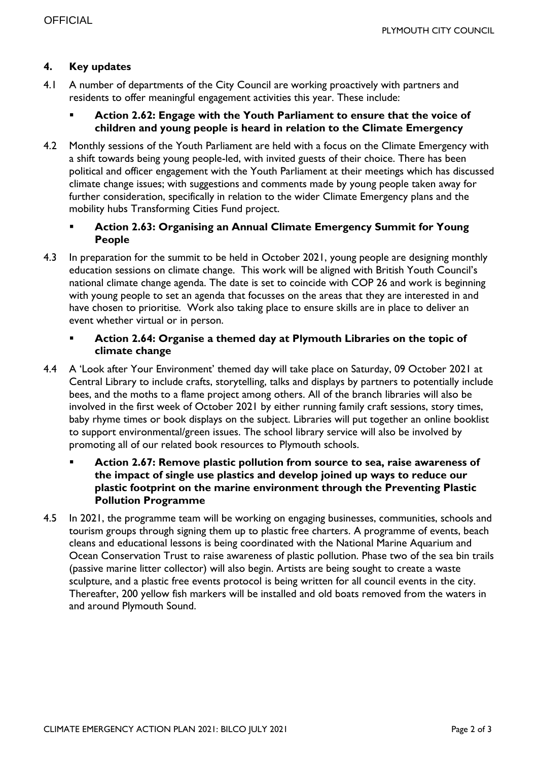## **4. Key updates**

- 4.1 A number of departments of the City Council are working proactively with partners and residents to offer meaningful engagement activities this year. These include:
	- **Action 2.62: Engage with the Youth Parliament to ensure that the voice of children and young people is heard in relation to the Climate Emergency**
- 4.2 Monthly sessions of the Youth Parliament are held with a focus on the Climate Emergency with a shift towards being young people-led, with invited guests of their choice. There has been political and officer engagement with the Youth Parliament at their meetings which has discussed climate change issues; with suggestions and comments made by young people taken away for further consideration, specifically in relation to the wider Climate Emergency plans and the mobility hubs Transforming Cities Fund project.

## **Action 2.63: Organising an Annual Climate Emergency Summit for Young People**

4.3 In preparation for the summit to be held in October 2021, young people are designing monthly education sessions on climate change. This work will be aligned with British Youth Council's national climate change agenda. The date is set to coincide with COP 26 and work is beginning with young people to set an agenda that focusses on the areas that they are interested in and have chosen to prioritise. Work also taking place to ensure skills are in place to deliver an event whether virtual or in person.

### **Action 2.64: Organise a themed day at Plymouth Libraries on the topic of climate change**

- 4.4 A 'Look after Your Environment' themed day will take place on Saturday, 09 October 2021 at Central Library to include crafts, storytelling, talks and displays by partners to potentially include bees, and the moths to a flame project among others. All of the branch libraries will also be involved in the first week of October 2021 by either running family craft sessions, story times, baby rhyme times or book displays on the subject. Libraries will put together an online booklist to support environmental/green issues. The school library service will also be involved by promoting all of our related book resources to Plymouth schools.
	- **Action 2.67: Remove plastic pollution from source to sea, raise awareness of the impact of single use plastics and develop joined up ways to reduce our plastic footprint on the marine environment through the Preventing Plastic Pollution Programme**
- 4.5 In 2021, the programme team will be working on engaging businesses, communities, schools and tourism groups through signing them up to plastic free charters. A programme of events, beach cleans and educational lessons is being coordinated with the National Marine Aquarium and Ocean Conservation Trust to raise awareness of plastic pollution. Phase two of the sea bin trails (passive marine litter collector) will also begin. Artists are being sought to create a waste sculpture, and a plastic free events protocol is being written for all council events in the city. Thereafter, 200 yellow fish markers will be installed and old boats removed from the waters in and around Plymouth Sound.